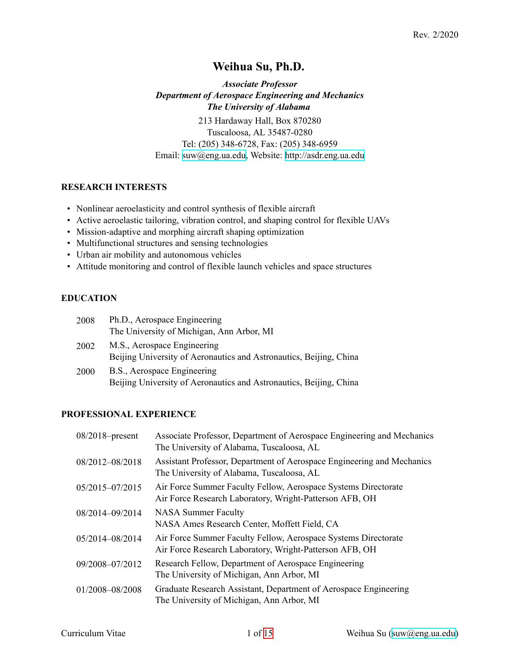# **Weihua Su, Ph.D.**

*Associate Professor Department of Aerospace Engineering and Mechanics The University of Alabama* 213 Hardaway Hall, Box 870280 Tuscaloosa, AL 35487-0280 Tel: (205) 348-6728, Fax: (205) 348-6959 Email: [suw@eng.ua.edu](mailto:suw@eng.ua.edu), Website: <http://asdr.eng.ua.edu>

# **RESEARCH INTERESTS**

- Nonlinear aeroelasticity and control synthesis of flexible aircraft
- Active aeroelastic tailoring, vibration control, and shaping control for flexible UAVs
- Mission-adaptive and morphing aircraft shaping optimization
- Multifunctional structures and sensing technologies
- Urban air mobility and autonomous vehicles
- Attitude monitoring and control of flexible launch vehicles and space structures

## **EDUCATION**

| 2008        | Ph.D., Aerospace Engineering                                                                      |
|-------------|---------------------------------------------------------------------------------------------------|
|             | The University of Michigan, Ann Arbor, MI                                                         |
| 2002        | M.S., Aerospace Engineering<br>Beijing University of Aeronautics and Astronautics, Beijing, China |
| <b>2000</b> | B.S., Aerospace Engineering<br>Beijing University of Aeronautics and Astronautics, Beijing, China |

# **PROFESSIONAL EXPERIENCE**

| $08/2018$ -present | Associate Professor, Department of Aerospace Engineering and Mechanics<br>The University of Alabama, Tuscaloosa, AL       |
|--------------------|---------------------------------------------------------------------------------------------------------------------------|
| 08/2012-08/2018    | Assistant Professor, Department of Aerospace Engineering and Mechanics<br>The University of Alabama, Tuscaloosa, AL       |
| 05/2015-07/2015    | Air Force Summer Faculty Fellow, Aerospace Systems Directorate<br>Air Force Research Laboratory, Wright-Patterson AFB, OH |
| 08/2014-09/2014    | <b>NASA Summer Faculty</b><br>NASA Ames Research Center, Moffett Field, CA                                                |
| 05/2014-08/2014    | Air Force Summer Faculty Fellow, Aerospace Systems Directorate<br>Air Force Research Laboratory, Wright-Patterson AFB, OH |
| 09/2008-07/2012    | Research Fellow, Department of Aerospace Engineering<br>The University of Michigan, Ann Arbor, MI                         |
| 01/2008-08/2008    | Graduate Research Assistant, Department of Aerospace Engineering<br>The University of Michigan, Ann Arbor, MI             |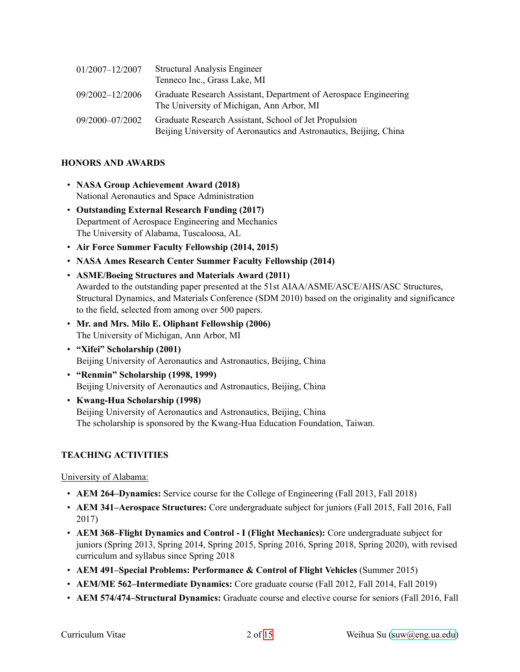| 01/2007-12/2007 | <b>Structural Analysis Engineer</b>                                                                                         |
|-----------------|-----------------------------------------------------------------------------------------------------------------------------|
|                 | Tenneco Inc., Grass Lake, MI                                                                                                |
| 09/2002-12/2006 | Graduate Research Assistant, Department of Aerospace Engineering<br>The University of Michigan, Ann Arbor, MI               |
| 09/2000-07/2002 | Graduate Research Assistant, School of Jet Propulsion<br>Beijing University of Aeronautics and Astronautics, Beijing, China |

## **HONORS AND AWARDS**

- **NASA Group Achievement Award (2018)** National Aeronautics and Space Administration
- **Outstanding External Research Funding (2017)** Department of Aerospace Engineering and Mechanics The University of Alabama, Tuscaloosa, AL
- **Air Force Summer Faculty Fellowship (2014, 2015)**
- **NASA Ames Research Center Summer Faculty Fellowship (2014)**
- **ASME/Boeing Structures and Materials Award (2011)** Awarded to the outstanding paper presented at the 51st AIAA/ASME/ASCE/AHS/ASC Structures, Structural Dynamics, and Materials Conference (SDM 2010) based on the originality and significance to the field, selected from among over 500 papers.
- **Mr. and Mrs. Milo E. Oliphant Fellowship (2006)** The University of Michigan, Ann Arbor, MI
- **"Xifei" Scholarship (2001)** Beijing University of Aeronautics and Astronautics, Beijing, China
- **"Renmin" Scholarship (1998, 1999)** Beijing University of Aeronautics and Astronautics, Beijing, China
- Kwang-Hua Scholarship (1998) Beijing University of Aeronautics and Astronautics, Beijing, China The scholarship is sponsored by the Kwang-Hua Education Foundation, Taiwan.

# **TEACHING ACTIVITIES**

University of Alabama:

- **AEM 264–Dynamics:** Service course for the College of Engineering (Fall 2013, Fall 2018)
- **AEM 341–Aerospace Structures:** Core undergraduate subject for juniors (Fall 2015, Fall 2016, Fall 2017)
- **AEM 368–Flight Dynamics and Control I (Flight Mechanics):** Core undergraduate subject for juniors (Spring 2013, Spring 2014, Spring 2015, Spring 2016, Spring 2018, Spring 2020), with revised curriculum and syllabus since Spring 2018
- **AEM 491–Special Problems: Performance & Control of Flight Vehicles** (Summer 2015)
- **AEM/ME 562–Intermediate Dynamics:** Core graduate course (Fall 2012, Fall 2014, Fall 2019)
- **AEM 574/474–Structural Dynamics:** Graduate course and elective course for seniors (Fall 2016, Fall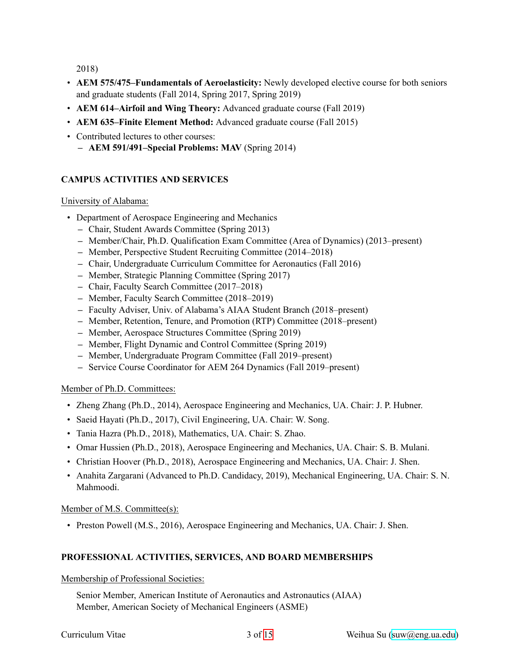2018)

- **AEM 575/475–Fundamentals of Aeroelasticity:** Newly developed elective course for both seniors and graduate students (Fall 2014, Spring 2017, Spring 2019)
- **AEM 614–Airfoil and Wing Theory:** Advanced graduate course (Fall 2019)
- **AEM 635–Finite Element Method:** Advanced graduate course (Fall 2015)
- Contributed lectures to other courses:
	- **AEM 591/491–Special Problems: MAV** (Spring 2014)

# **CAMPUS ACTIVITIES AND SERVICES**

### University of Alabama:

- Department of Aerospace Engineering and Mechanics
	- **–** Chair, Student Awards Committee (Spring 2013)
	- **–** Member/Chair, Ph.D. Qualification Exam Committee (Area of Dynamics) (2013–present)
	- **–** Member, Perspective Student Recruiting Committee (2014–2018)
	- **–** Chair, Undergraduate Curriculum Committee for Aeronautics (Fall 2016)
	- **–** Member, Strategic Planning Committee (Spring 2017)
	- **–** Chair, Faculty Search Committee (2017–2018)
	- **–** Member, Faculty Search Committee (2018–2019)
	- **–** Faculty Adviser, Univ. of Alabama's AIAA Student Branch (2018–present)
	- **–** Member, Retention, Tenure, and Promotion (RTP) Committee (2018–present)
	- **–** Member, Aerospace Structures Committee (Spring 2019)
	- **–** Member, Flight Dynamic and Control Committee (Spring 2019)
	- **–** Member, Undergraduate Program Committee (Fall 2019–present)
	- **–** Service Course Coordinator for AEM 264 Dynamics (Fall 2019–present)

### Member of Ph.D. Committees:

- Zheng Zhang (Ph.D., 2014), Aerospace Engineering and Mechanics, UA. Chair: J. P. Hubner.
- Saeid Hayati (Ph.D., 2017), Civil Engineering, UA. Chair: W. Song.
- Tania Hazra (Ph.D., 2018), Mathematics, UA. Chair: S. Zhao.
- Omar Hussien (Ph.D., 2018), Aerospace Engineering and Mechanics, UA. Chair: S. B. Mulani.
- Christian Hoover (Ph.D., 2018), Aerospace Engineering and Mechanics, UA. Chair: J. Shen.
- Anahita Zargarani (Advanced to Ph.D. Candidacy, 2019), Mechanical Engineering, UA. Chair: S. N. Mahmoodi.

### Member of M.S. Committee(s):

• Preston Powell (M.S., 2016), Aerospace Engineering and Mechanics, UA. Chair: J. Shen.

# **PROFESSIONAL ACTIVITIES, SERVICES, AND BOARD MEMBERSHIPS**

### Membership of Professional Societies:

Senior Member, American Institute of Aeronautics and Astronautics (AIAA) Member, American Society of Mechanical Engineers (ASME)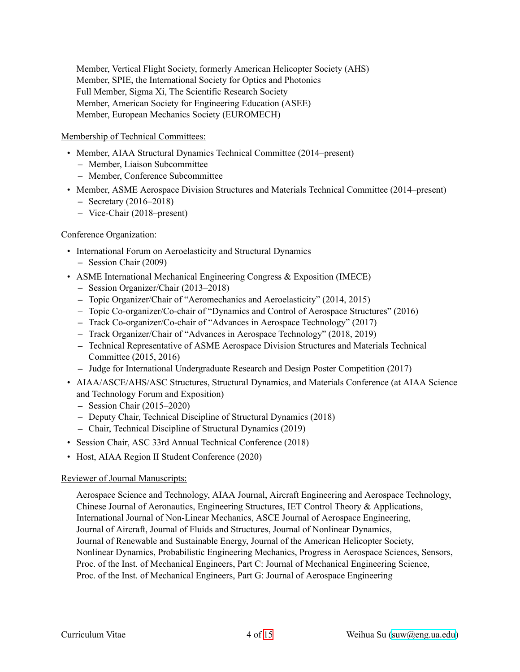Member, Vertical Flight Society, formerly American Helicopter Society (AHS) Member, SPIE, the International Society for Optics and Photonics Full Member, Sigma Xi, The Scientific Research Society Member, American Society for Engineering Education (ASEE) Member, European Mechanics Society (EUROMECH)

#### Membership of Technical Committees:

- Member, AIAA Structural Dynamics Technical Committee (2014–present)
	- **–** Member, Liaison Subcommittee
	- **–** Member, Conference Subcommittee
- Member, ASME Aerospace Division Structures and Materials Technical Committee (2014–present)
	- **–** Secretary (2016–2018)
	- **–** ViceChair (2018–present)

### Conference Organization:

- International Forum on Aeroelasticity and Structural Dynamics **–** Session Chair (2009)
- ASME International Mechanical Engineering Congress & Exposition (IMECE)
	- **–** Session Organizer/Chair (2013–2018)
	- **–** Topic Organizer/Chair of "Aeromechanics and Aeroelasticity" (2014, 2015)
	- Topic Co-organizer/Co-chair of "Dynamics and Control of Aerospace Structures" (2016)
	- Track Co-organizer/Co-chair of "Advances in Aerospace Technology" (2017)
	- **–** Track Organizer/Chair of "Advances in Aerospace Technology" (2018, 2019)
	- **–** Technical Representative of ASME Aerospace Division Structures and Materials Technical Committee (2015, 2016)
	- **–** Judge for International Undergraduate Research and Design Poster Competition (2017)
- AIAA/ASCE/AHS/ASC Structures, Structural Dynamics, and Materials Conference (at AIAA Science and Technology Forum and Exposition)
	- **–** Session Chair (2015–2020)
	- **–** Deputy Chair, Technical Discipline of Structural Dynamics (2018)
	- **–** Chair, Technical Discipline of Structural Dynamics (2019)
- Session Chair, ASC 33rd Annual Technical Conference (2018)
- Host, AIAA Region II Student Conference (2020)

### Reviewer of Journal Manuscripts:

Aerospace Science and Technology, AIAA Journal, Aircraft Engineering and Aerospace Technology, Chinese Journal of Aeronautics, Engineering Structures, IET Control Theory & Applications, International Journal of Non-Linear Mechanics, ASCE Journal of Aerospace Engineering, Journal of Aircraft, Journal of Fluids and Structures, Journal of Nonlinear Dynamics, Journal of Renewable and Sustainable Energy, Journal of the American Helicopter Society, Nonlinear Dynamics, Probabilistic Engineering Mechanics, Progress in Aerospace Sciences, Sensors, Proc. of the Inst. of Mechanical Engineers, Part C: Journal of Mechanical Engineering Science, Proc. of the Inst. of Mechanical Engineers, Part G: Journal of Aerospace Engineering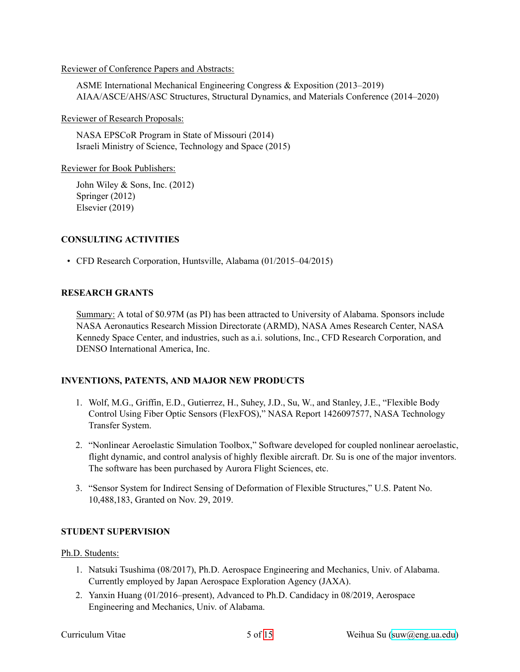#### Reviewer of Conference Papers and Abstracts:

ASME International Mechanical Engineering Congress & Exposition (2013–2019) AIAA/ASCE/AHS/ASC Structures, Structural Dynamics, and Materials Conference (2014–2020)

Reviewer of Research Proposals:

NASA EPSCoR Program in State of Missouri (2014) Israeli Ministry of Science, Technology and Space (2015)

Reviewer for Book Publishers:

John Wiley & Sons, Inc. (2012) Springer (2012) Elsevier (2019)

## **CONSULTING ACTIVITIES**

• CFD Research Corporation, Huntsville, Alabama (01/2015–04/2015)

### **RESEARCH GRANTS**

Summary: A total of \$0.97M (as PI) has been attracted to University of Alabama. Sponsors include NASA Aeronautics Research Mission Directorate (ARMD), NASA Ames Research Center, NASA Kennedy Space Center, and industries, such as a.i. solutions, Inc., CFD Research Corporation, and DENSO International America, Inc.

# **INVENTIONS, PATENTS, AND MAJOR NEW PRODUCTS**

- 1. Wolf, M.G., Griffin, E.D., Gutierrez, H., Suhey, J.D., Su, W., and Stanley, J.E., "Flexible Body Control Using Fiber Optic Sensors (FlexFOS)," NASA Report 1426097577, NASA Technology Transfer System.
- 2. "Nonlinear Aeroelastic Simulation Toolbox," Software developed for coupled nonlinear aeroelastic, flight dynamic, and control analysis of highly flexible aircraft. Dr. Su is one of the major inventors. The software has been purchased by Aurora Flight Sciences, etc.
- 3. "Sensor System for Indirect Sensing of Deformation of Flexible Structures," U.S. Patent No. 10,488,183, Granted on Nov. 29, 2019.

### **STUDENT SUPERVISION**

### Ph.D. Students:

- 1. Natsuki Tsushima (08/2017), Ph.D. Aerospace Engineering and Mechanics, Univ. of Alabama. Currently employed by Japan Aerospace Exploration Agency (JAXA).
- 2. Yanxin Huang (01/2016–present), Advanced to Ph.D. Candidacy in 08/2019, Aerospace Engineering and Mechanics, Univ. of Alabama.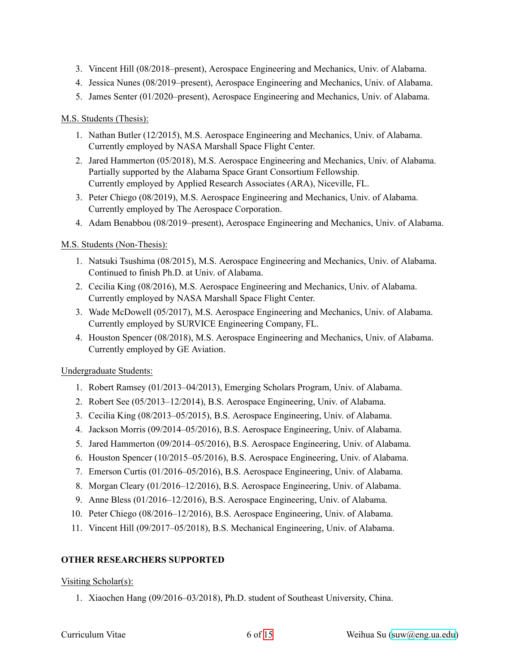- 3. Vincent Hill (08/2018–present), Aerospace Engineering and Mechanics, Univ. of Alabama.
- 4. Jessica Nunes (08/2019–present), Aerospace Engineering and Mechanics, Univ. of Alabama.
- 5. James Senter (01/2020–present), Aerospace Engineering and Mechanics, Univ. of Alabama.

## M.S. Students (Thesis):

- 1. Nathan Butler (12/2015), M.S. Aerospace Engineering and Mechanics, Univ. of Alabama. Currently employed by NASA Marshall Space Flight Center.
- 2. Jared Hammerton (05/2018), M.S. Aerospace Engineering and Mechanics, Univ. of Alabama. Partially supported by the Alabama Space Grant Consortium Fellowship. Currently employed by Applied Research Associates (ARA), Niceville, FL.
- 3. Peter Chiego (08/2019), M.S. Aerospace Engineering and Mechanics, Univ. of Alabama. Currently employed by The Aerospace Corporation.
- 4. Adam Benabbou (08/2019–present), Aerospace Engineering and Mechanics, Univ. of Alabama.

# M.S. Students (Non-Thesis):

- 1. Natsuki Tsushima (08/2015), M.S. Aerospace Engineering and Mechanics, Univ. of Alabama. Continued to finish Ph.D. at Univ. of Alabama.
- 2. Cecilia King (08/2016), M.S. Aerospace Engineering and Mechanics, Univ. of Alabama. Currently employed by NASA Marshall Space Flight Center.
- 3. Wade McDowell (05/2017), M.S. Aerospace Engineering and Mechanics, Univ. of Alabama. Currently employed by SURVICE Engineering Company, FL.
- 4. Houston Spencer (08/2018), M.S. Aerospace Engineering and Mechanics, Univ. of Alabama. Currently employed by GE Aviation.

# Undergraduate Students:

- 1. Robert Ramsey (01/2013–04/2013), Emerging Scholars Program, Univ. of Alabama.
- 2. Robert See (05/2013–12/2014), B.S. Aerospace Engineering, Univ. of Alabama.
- 3. Cecilia King (08/2013–05/2015), B.S. Aerospace Engineering, Univ. of Alabama.
- 4. Jackson Morris (09/2014–05/2016), B.S. Aerospace Engineering, Univ. of Alabama.
- 5. Jared Hammerton (09/2014–05/2016), B.S. Aerospace Engineering, Univ. of Alabama.
- 6. Houston Spencer (10/2015–05/2016), B.S. Aerospace Engineering, Univ. of Alabama.
- 7. Emerson Curtis (01/2016–05/2016), B.S. Aerospace Engineering, Univ. of Alabama.
- 8. Morgan Cleary (01/2016–12/2016), B.S. Aerospace Engineering, Univ. of Alabama.
- 9. Anne Bless (01/2016–12/2016), B.S. Aerospace Engineering, Univ. of Alabama.
- 10. Peter Chiego (08/2016–12/2016), B.S. Aerospace Engineering, Univ. of Alabama.
- 11. Vincent Hill (09/2017–05/2018), B.S. Mechanical Engineering, Univ. of Alabama.

# **OTHER RESEARCHERS SUPPORTED**

# Visiting Scholar(s):

1. Xiaochen Hang (09/2016–03/2018), Ph.D. student of Southeast University, China.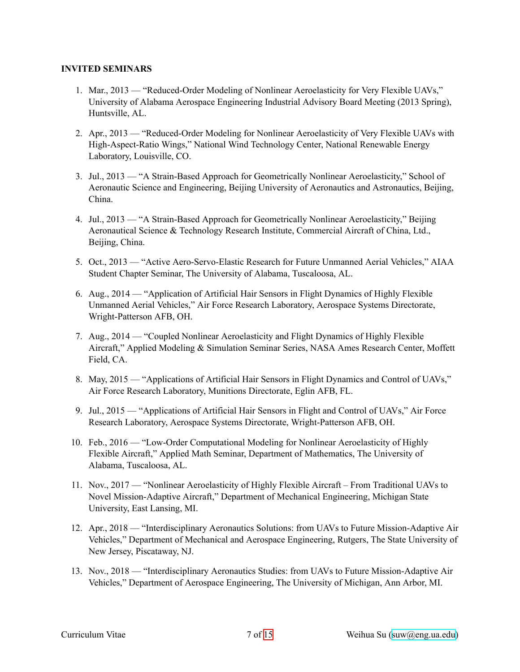#### **INVITED SEMINARS**

- 1. Mar., 2013 "Reduced-Order Modeling of Nonlinear Aeroelasticity for Very Flexible UAVs," University of Alabama Aerospace Engineering Industrial Advisory Board Meeting (2013 Spring), Huntsville, AL.
- 2. Apr., 2013 "Reduced-Order Modeling for Nonlinear Aeroelasticity of Very Flexible UAVs with High-Aspect-Ratio Wings," National Wind Technology Center, National Renewable Energy Laboratory, Louisville, CO.
- 3. Jul., 2013 "A Strain-Based Approach for Geometrically Nonlinear Aeroelasticity," School of Aeronautic Science and Engineering, Beijing University of Aeronautics and Astronautics, Beijing, China.
- 4. Jul., 2013 "A Strain-Based Approach for Geometrically Nonlinear Aeroelasticity," Beijing Aeronautical Science & Technology Research Institute, Commercial Aircraft of China, Ltd., Beijing, China.
- 5. Oct., 2013 "Active Aero-Servo-Elastic Research for Future Unmanned Aerial Vehicles," AIAA Student Chapter Seminar, The University of Alabama, Tuscaloosa, AL.
- 6. Aug., 2014 "Application of Artificial Hair Sensors in Flight Dynamics of Highly Flexible Unmanned Aerial Vehicles," Air Force Research Laboratory, Aerospace Systems Directorate, Wright-Patterson AFB, OH.
- 7. Aug., 2014 "Coupled Nonlinear Aeroelasticity and Flight Dynamics of Highly Flexible Aircraft," Applied Modeling & Simulation Seminar Series, NASA Ames Research Center, Moffett Field, CA.
- 8. May, 2015 "Applications of Artificial Hair Sensors in Flight Dynamics and Control of UAVs," Air Force Research Laboratory, Munitions Directorate, Eglin AFB, FL.
- 9. Jul., 2015 "Applications of Artificial Hair Sensors in Flight and Control of UAVs," Air Force Research Laboratory, Aerospace Systems Directorate, Wright-Patterson AFB, OH.
- 10. Feb., 2016 "Low-Order Computational Modeling for Nonlinear Aeroelasticity of Highly Flexible Aircraft," Applied Math Seminar, Department of Mathematics, The University of Alabama, Tuscaloosa, AL.
- 11. Nov., 2017 "Nonlinear Aeroelasticity of Highly Flexible Aircraft From Traditional UAVs to Novel Mission-Adaptive Aircraft," Department of Mechanical Engineering, Michigan State University, East Lansing, MI.
- 12. Apr., 2018 "Interdisciplinary Aeronautics Solutions: from UAVs to Future MissionAdaptive Air Vehicles," Department of Mechanical and Aerospace Engineering, Rutgers, The State University of New Jersey, Piscataway, NJ.
- 13. Nov., 2018 "Interdisciplinary Aeronautics Studies: from UAVs to Future MissionAdaptive Air Vehicles," Department of Aerospace Engineering, The University of Michigan, Ann Arbor, MI.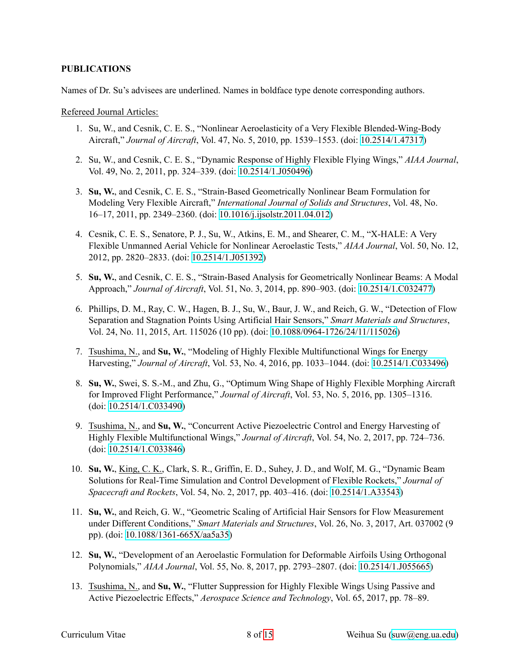### **PUBLICATIONS**

Names of Dr. Su's advisees are underlined. Names in boldface type denote corresponding authors.

Refereed Journal Articles:

- 1. Su, W., and Cesnik, C. E. S., "Nonlinear Aeroelasticity of a Very Flexible Blended-Wing-Body Aircraft," *Journal of Aircraft*, Vol. 47, No. 5, 2010, pp. 1539–1553. (doi: [10.2514/1.47317\)](https://doi.org/10.2514/1.47317)
- 2. Su, W., and Cesnik, C. E. S., "Dynamic Response of Highly Flexible Flying Wings," *AIAA Journal*, Vol. 49, No. 2, 2011, pp. 324–339. (doi: [10.2514/1.J050496\)](https://doi.org/10.2514/1.J050496)
- 3. Su, W., and Cesnik, C. E. S., "Strain-Based Geometrically Nonlinear Beam Formulation for Modeling Very Flexible Aircraft," *International Journal of Solids and Structures*, Vol. 48, No. 16–17, 2011, pp. 2349–2360. (doi: [10.1016/j.ijsolstr.2011.04.012](https://doi.org/10.1016/j.ijsolstr.2011.04.012))
- 4. Cesnik, C. E. S., Senatore, P. J., Su, W., Atkins, E. M., and Shearer, C. M., "X-HALE: A Very Flexible Unmanned Aerial Vehicle for Nonlinear Aeroelastic Tests," *AIAA Journal*, Vol. 50, No. 12, 2012, pp. 2820–2833. (doi: [10.2514/1.J051392\)](https://doi.org/10.2514/1.J051392)
- 5. **Su, W.**, and Cesnik, C. E. S., "Strain-Based Analysis for Geometrically Nonlinear Beams: A Modal Approach," *Journal of Aircraft*, Vol. 51, No. 3, 2014, pp. 890–903. (doi: [10.2514/1.C032477\)](https://doi.org/10.2514/1.C032477)
- 6. Phillips, D. M., Ray, C. W., Hagen, B. J., Su, W., Baur, J. W., and Reich, G. W., "Detection of Flow Separation and Stagnation Points Using Artificial Hair Sensors," *Smart Materials and Structures*, Vol. 24, No. 11, 2015, Art. 115026 (10 pp). (doi: [10.1088/09641726/24/11/115026](https://doi.org/10.1088/0964-1726/24/11/115026))
- 7. Tsushima, N., and **Su, W.**, "Modeling of Highly Flexible Multifunctional Wings for Energy Harvesting," *Journal of Aircraft*, Vol. 53, No. 4, 2016, pp. 1033–1044. (doi: [10.2514/1.C033496\)](https://doi.org/10.2514/1.C033496)
- 8. **Su, W.**, Swei, S. S.M., and Zhu, G., "Optimum Wing Shape of Highly Flexible Morphing Aircraft for Improved Flight Performance," *Journal of Aircraft*, Vol. 53, No. 5, 2016, pp. 1305–1316. (doi: [10.2514/1.C033490](https://doi.org/10.2514/1.C033490))
- 9. Tsushima, N., and **Su, W.**, "Concurrent Active Piezoelectric Control and Energy Harvesting of Highly Flexible Multifunctional Wings," *Journal of Aircraft*, Vol. 54, No. 2, 2017, pp. 724–736. (doi: [10.2514/1.C033846](https://doi.org/10.2514/1.C033846))
- 10. **Su, W.**, King, C. K., Clark, S. R., Griffin, E. D., Suhey, J. D., and Wolf, M. G., "Dynamic Beam Solutions for Real-Time Simulation and Control Development of Flexible Rockets," Journal of *Spacecraft and Rockets*, Vol. 54, No. 2, 2017, pp. 403–416. (doi: [10.2514/1.A33543](https://doi.org/10.2514/1.A33543))
- 11. **Su, W.**, and Reich, G. W., "Geometric Scaling of Artificial Hair Sensors for Flow Measurement under Different Conditions," *Smart Materials and Structures*, Vol. 26, No. 3, 2017, Art. 037002 (9 pp). (doi: 10.1088/1361-665X/aa5a35)
- 12. **Su, W.**, "Development of an Aeroelastic Formulation for Deformable Airfoils Using Orthogonal Polynomials," *AIAA Journal*, Vol. 55, No. 8, 2017, pp. 2793–2807. (doi: [10.2514/1.J055665\)](https://doi.org/10.2514/1.J055665)
- 13. Tsushima, N., and **Su, W.**, "Flutter Suppression for Highly Flexible Wings Using Passive and Active Piezoelectric Effects," *Aerospace Science and Technology*, Vol. 65, 2017, pp. 78–89.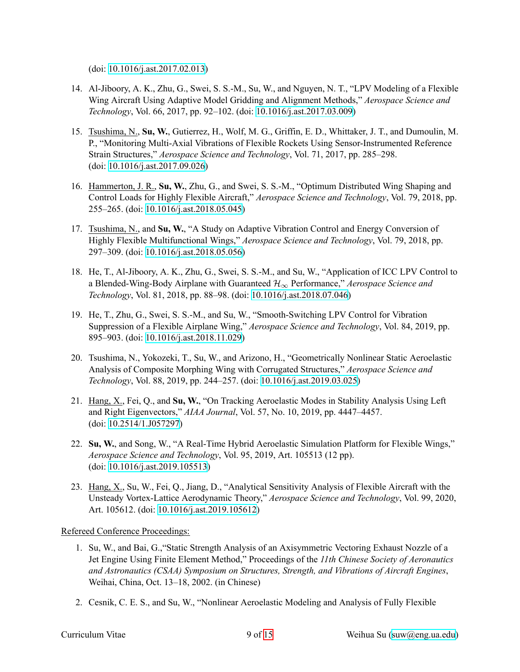(doi: [10.1016/j.ast.2017.02.013](https://doi.org/10.1016/j.ast.2017.02.013))

- 14. Al-Jiboory, A. K., Zhu, G., Swei, S. S.-M., Su, W., and Nguyen, N. T., "LPV Modeling of a Flexible Wing Aircraft Using Adaptive Model Gridding and Alignment Methods," *Aerospace Science and Technology*, Vol. 66, 2017, pp. 92–102. (doi: [10.1016/j.ast.2017.03.009](https://doi.org/10.1016/j.ast.2017.03.009))
- 15. Tsushima, N., **Su, W.**, Gutierrez, H., Wolf, M. G., Griffin, E. D., Whittaker, J. T., and Dumoulin, M. P., "Monitoring Multi-Axial Vibrations of Flexible Rockets Using Sensor-Instrumented Reference Strain Structures," *Aerospace Science and Technology*, Vol. 71, 2017, pp. 285–298. (doi: [10.1016/j.ast.2017.09.026](https://doi.org/10.1016/j.ast.2017.09.026))
- 16. Hammerton, J. R., **Su, W.**, Zhu, G., and Swei, S. S.M., "Optimum Distributed Wing Shaping and Control Loads for Highly Flexible Aircraft," *Aerospace Science and Technology*, Vol. 79, 2018, pp. 255–265. (doi: [10.1016/j.ast.2018.05.045](https://doi.org/10.1016/j.ast.2018.05.045))
- 17. Tsushima, N., and **Su, W.**, "A Study on Adaptive Vibration Control and Energy Conversion of Highly Flexible Multifunctional Wings," *Aerospace Science and Technology*, Vol. 79, 2018, pp. 297–309. (doi: [10.1016/j.ast.2018.05.056](https://doi.org/10.1016/j.ast.2018.05.056))
- 18. He, T., Al-Jiboory, A. K., Zhu, G., Swei, S. S.-M., and Su, W., "Application of ICC LPV Control to a Blended-Wing-Body Airplane with Guaranteed  $\mathcal{H}_{\infty}$  Performance," *Aerospace Science and Technology*, Vol. 81, 2018, pp. 88–98. (doi: [10.1016/j.ast.2018.07.046\)](https://doi.org/10.1016/j.ast.2018.07.046)
- 19. He, T., Zhu, G., Swei, S. S.-M., and Su, W., "Smooth-Switching LPV Control for Vibration Suppression of a Flexible Airplane Wing," *Aerospace Science and Technology*, Vol. 84, 2019, pp. 895–903. (doi: [10.1016/j.ast.2018.11.029\)](https://doi.org/10.1016/j.ast.2018.11.029)
- 20. Tsushima, N., Yokozeki, T., Su, W., and Arizono, H., "Geometrically Nonlinear Static Aeroelastic Analysis of Composite Morphing Wing with Corrugated Structures," *Aerospace Science and Technology*, Vol. 88, 2019, pp. 244–257. (doi: [10.1016/j.ast.2019.03.025\)](https://doi.org/10.1016/j.ast.2019.03.025)
- 21. Hang, X., Fei, Q., and **Su, W.**, "On Tracking Aeroelastic Modes in Stability Analysis Using Left and Right Eigenvectors," *AIAA Journal*, Vol. 57, No. 10, 2019, pp. 4447–4457. (doi: [10.2514/1.J057297](https://doi.org/10.2514/1.J057297))
- 22. Su, W., and Song, W., "A Real-Time Hybrid Aeroelastic Simulation Platform for Flexible Wings," *Aerospace Science and Technology*, Vol. 95, 2019, Art. 105513 (12 pp). (doi: [10.1016/j.ast.2019.105513](https://doi.org/10.1016/j.ast.2019.105513))
- 23. Hang, X., Su, W., Fei, Q., Jiang, D., "Analytical Sensitivity Analysis of Flexible Aircraft with the Unsteady VortexLattice Aerodynamic Theory," *Aerospace Science and Technology*, Vol. 99, 2020, Art. 105612. (doi: [10.1016/j.ast.2019.105612](https://doi.org/10.1016/j.ast.2019.105612))

Refereed Conference Proceedings:

- 1. Su, W., and Bai, G.,"Static Strength Analysis of an Axisymmetric Vectoring Exhaust Nozzle of a Jet Engine Using Finite Element Method," Proceedings of the *11th Chinese Society of Aeronautics and Astronautics (CSAA) Symposium on Structures, Strength, and Vibrations of Aircraft Engines*, Weihai, China, Oct. 13–18, 2002. (in Chinese)
- 2. Cesnik, C. E. S., and Su, W., "Nonlinear Aeroelastic Modeling and Analysis of Fully Flexible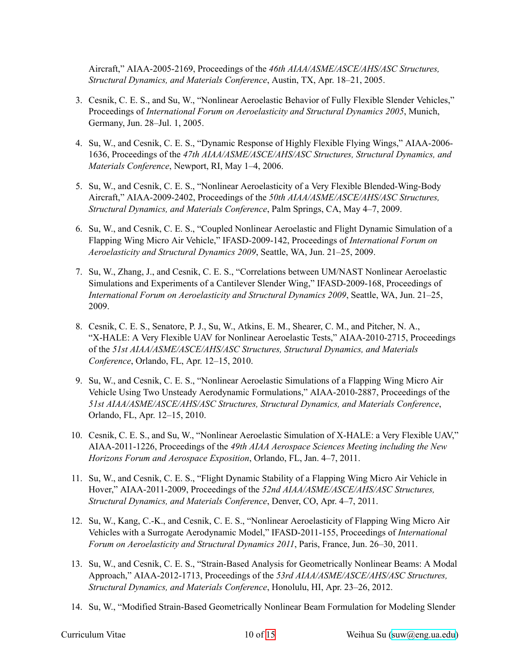Aircraft," AIAA20052169, Proceedings of the *46th AIAA/ASME/ASCE/AHS/ASC Structures, Structural Dynamics, and Materials Conference*, Austin, TX, Apr. 18–21, 2005.

- 3. Cesnik, C. E. S., and Su, W., "Nonlinear Aeroelastic Behavior of Fully Flexible Slender Vehicles," Proceedings of *International Forum on Aeroelasticity and Structural Dynamics 2005*, Munich, Germany, Jun. 28–Jul. 1, 2005.
- 4. Su, W., and Cesnik, C. E. S., "Dynamic Response of Highly Flexible Flying Wings," AIAA-2006-1636, Proceedings of the *47th AIAA/ASME/ASCE/AHS/ASC Structures, Structural Dynamics, and Materials Conference*, Newport, RI, May 1–4, 2006.
- 5. Su, W., and Cesnik, C. E. S., "Nonlinear Aeroelasticity of a Very Flexible Blended-Wing-Body Aircraft," AIAA20092402, Proceedings of the *50th AIAA/ASME/ASCE/AHS/ASC Structures, Structural Dynamics, and Materials Conference*, Palm Springs, CA, May 4–7, 2009.
- 6. Su, W., and Cesnik, C. E. S., "Coupled Nonlinear Aeroelastic and Flight Dynamic Simulation of a Flapping Wing Micro Air Vehicle," IFASD-2009-142, Proceedings of *International Forum on Aeroelasticity and Structural Dynamics 2009*, Seattle, WA, Jun. 21–25, 2009.
- 7. Su, W., Zhang, J., and Cesnik, C. E. S., "Correlations between UM/NAST Nonlinear Aeroelastic Simulations and Experiments of a Cantilever Slender Wing," IFASD-2009-168, Proceedings of *International Forum on Aeroelasticity and Structural Dynamics 2009*, Seattle, WA, Jun. 21–25, 2009.
- 8. Cesnik, C. E. S., Senatore, P. J., Su, W., Atkins, E. M., Shearer, C. M., and Pitcher, N. A., "X-HALE: A Very Flexible UAV for Nonlinear Aeroelastic Tests," AIAA-2010-2715, Proceedings of the *51st AIAA/ASME/ASCE/AHS/ASC Structures, Structural Dynamics, and Materials Conference*, Orlando, FL, Apr. 12–15, 2010.
- 9. Su, W., and Cesnik, C. E. S., "Nonlinear Aeroelastic Simulations of a Flapping Wing Micro Air Vehicle Using Two Unsteady Aerodynamic Formulations," AIAA-2010-2887, Proceedings of the *51st AIAA/ASME/ASCE/AHS/ASC Structures, Structural Dynamics, and Materials Conference*, Orlando, FL, Apr. 12–15, 2010.
- 10. Cesnik, C. E. S., and Su, W., "Nonlinear Aeroelastic Simulation of XHALE: a Very Flexible UAV," AIAA20111226, Proceedings of the *49th AIAA Aerospace Sciences Meeting including the New Horizons Forum and Aerospace Exposition*, Orlando, FL, Jan. 4–7, 2011.
- 11. Su, W., and Cesnik, C. E. S., "Flight Dynamic Stability of a Flapping Wing Micro Air Vehicle in Hover," AIAA-2011-2009, Proceedings of the 52nd AIAA/ASME/ASCE/AHS/ASC Structures, *Structural Dynamics, and Materials Conference*, Denver, CO, Apr. 4–7, 2011.
- 12. Su, W., Kang, C.-K., and Cesnik, C. E. S., "Nonlinear Aeroelasticity of Flapping Wing Micro Air Vehicles with a Surrogate Aerodynamic Model," IFASD-2011-155, Proceedings of *International Forum on Aeroelasticity and Structural Dynamics 2011*, Paris, France, Jun. 26–30, 2011.
- 13. Su, W., and Cesnik, C. E. S., "Strain-Based Analysis for Geometrically Nonlinear Beams: A Modal Approach," AIAA-2012-1713, Proceedings of the 53rd AIAA/ASME/ASCE/AHS/ASC Structures, *Structural Dynamics, and Materials Conference*, Honolulu, HI, Apr. 23–26, 2012.
- 14. Su, W., "Modified Strain-Based Geometrically Nonlinear Beam Formulation for Modeling Slender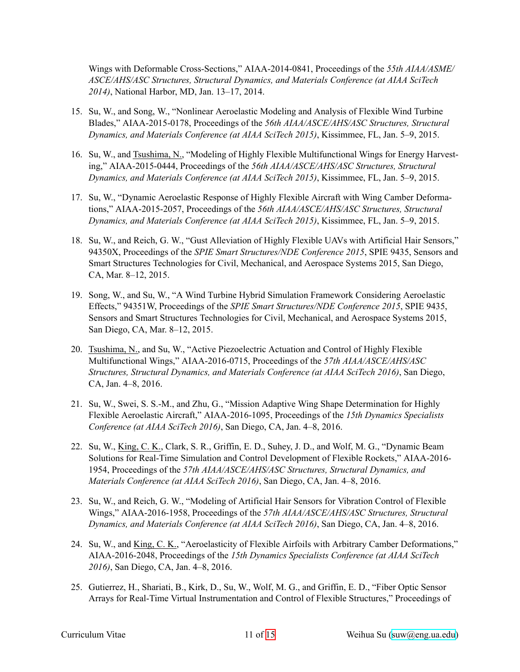Wings with Deformable Cross-Sections," AIAA-2014-0841, Proceedings of the 55th AIAA/ASME/ *ASCE/AHS/ASC Structures, Structural Dynamics, and Materials Conference (at AIAA SciTech 2014)*, National Harbor, MD, Jan. 13–17, 2014.

- 15. Su, W., and Song, W., "Nonlinear Aeroelastic Modeling and Analysis of Flexible Wind Turbine Blades," AIAA-2015-0178, Proceedings of the 56th AIAA/ASCE/AHS/ASC Structures, Structural *Dynamics, and Materials Conference (at AIAA SciTech 2015)*, Kissimmee, FL, Jan. 5–9, 2015.
- 16. Su, W., and Tsushima, N., "Modeling of Highly Flexible Multifunctional Wings for Energy Harvesting," AIAA-2015-0444, Proceedings of the 56th AIAA/ASCE/AHS/ASC Structures, Structural *Dynamics, and Materials Conference (at AIAA SciTech 2015)*, Kissimmee, FL, Jan. 5–9, 2015.
- 17. Su, W., "Dynamic Aeroelastic Response of Highly Flexible Aircraft with Wing Camber Deformations," AIAA-2015-2057, Proceedings of the 56th AIAA/ASCE/AHS/ASC Structures, Structural *Dynamics, and Materials Conference (at AIAA SciTech 2015)*, Kissimmee, FL, Jan. 5–9, 2015.
- 18. Su, W., and Reich, G. W., "Gust Alleviation of Highly Flexible UAVs with Artificial Hair Sensors," 94350X, Proceedings of the *SPIE Smart Structures/NDE Conference 2015*, SPIE 9435, Sensors and Smart Structures Technologies for Civil, Mechanical, and Aerospace Systems 2015, San Diego, CA, Mar. 8–12, 2015.
- 19. Song, W., and Su, W., "A Wind Turbine Hybrid Simulation Framework Considering Aeroelastic Effects," 94351W, Proceedings of the *SPIE Smart Structures/NDE Conference 2015*, SPIE 9435, Sensors and Smart Structures Technologies for Civil, Mechanical, and Aerospace Systems 2015, San Diego, CA, Mar. 8–12, 2015.
- 20. Tsushima, N., and Su, W., "Active Piezoelectric Actuation and Control of Highly Flexible Multifunctional Wings," AIAA20160715, Proceedings of the *57th AIAA/ASCE/AHS/ASC Structures, Structural Dynamics, and Materials Conference (at AIAA SciTech 2016)*, San Diego, CA, Jan. 4–8, 2016.
- 21. Su, W., Swei, S. S.-M., and Zhu, G., "Mission Adaptive Wing Shape Determination for Highly Flexible Aeroelastic Aircraft," AIAA-2016-1095, Proceedings of the *15th Dynamics Specialists Conference (at AIAA SciTech 2016)*, San Diego, CA, Jan. 4–8, 2016.
- 22. Su, W., King, C. K., Clark, S. R., Griffin, E. D., Suhey, J. D., and Wolf, M. G., "Dynamic Beam Solutions for Real-Time Simulation and Control Development of Flexible Rockets," AIAA-2016-1954, Proceedings of the *57th AIAA/ASCE/AHS/ASC Structures, Structural Dynamics, and Materials Conference (at AIAA SciTech 2016)*, San Diego, CA, Jan. 4–8, 2016.
- 23. Su, W., and Reich, G. W., "Modeling of Artificial Hair Sensors for Vibration Control of Flexible Wings," AIAA-2016-1958, Proceedings of the 57th AIAA/ASCE/AHS/ASC Structures, Structural *Dynamics, and Materials Conference (at AIAA SciTech 2016)*, San Diego, CA, Jan. 4–8, 2016.
- 24. Su, W., and King, C. K., "Aeroelasticity of Flexible Airfoils with Arbitrary Camber Deformations," AIAA20162048, Proceedings of the *15th Dynamics Specialists Conference (at AIAA SciTech 2016)*, San Diego, CA, Jan. 4–8, 2016.
- 25. Gutierrez, H., Shariati, B., Kirk, D., Su, W., Wolf, M. G., and Griffin, E. D., "Fiber Optic Sensor Arrays for Real-Time Virtual Instrumentation and Control of Flexible Structures," Proceedings of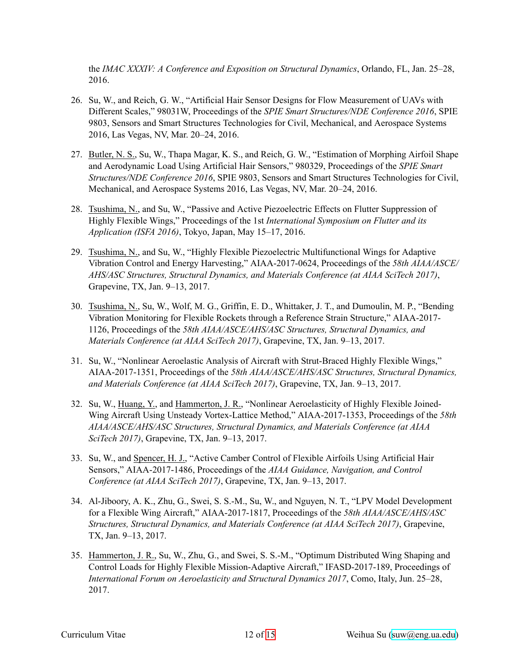the *IMAC XXXIV: A Conference and Exposition on Structural Dynamics*, Orlando, FL, Jan. 25–28, 2016.

- 26. Su, W., and Reich, G. W., "Artificial Hair Sensor Designs for Flow Measurement of UAVs with Different Scales," 98031W, Proceedings of the *SPIE Smart Structures/NDE Conference 2016*, SPIE 9803, Sensors and Smart Structures Technologies for Civil, Mechanical, and Aerospace Systems 2016, Las Vegas, NV, Mar. 20–24, 2016.
- 27. Butler, N. S., Su, W., Thapa Magar, K. S., and Reich, G. W., "Estimation of Morphing Airfoil Shape and Aerodynamic Load Using Artificial Hair Sensors," 980329, Proceedings of the *SPIE Smart Structures/NDE Conference 2016*, SPIE 9803, Sensors and Smart Structures Technologies for Civil, Mechanical, and Aerospace Systems 2016, Las Vegas, NV, Mar. 20–24, 2016.
- 28. Tsushima, N., and Su, W., "Passive and Active Piezoelectric Effects on Flutter Suppression of Highly Flexible Wings," Proceedings of the 1st *International Symposium on Flutter and its Application (ISFA 2016)*, Tokyo, Japan, May 15–17, 2016.
- 29. Tsushima, N., and Su, W., "Highly Flexible Piezoelectric Multifunctional Wings for Adaptive Vibration Control and Energy Harvesting," AIAA-2017-0624, Proceedings of the 58th AIAA/ASCE/ *AHS/ASC Structures, Structural Dynamics, and Materials Conference (at AIAA SciTech 2017)*, Grapevine, TX, Jan. 9–13, 2017.
- 30. Tsushima, N., Su, W., Wolf, M. G., Griffin, E. D., Whittaker, J. T., and Dumoulin, M. P., "Bending Vibration Monitoring for Flexible Rockets through a Reference Strain Structure," AIAA-2017-1126, Proceedings of the *58th AIAA/ASCE/AHS/ASC Structures, Structural Dynamics, and Materials Conference (at AIAA SciTech 2017)*, Grapevine, TX, Jan. 9–13, 2017.
- 31. Su, W., "Nonlinear Aeroelastic Analysis of Aircraft with Strut-Braced Highly Flexible Wings," AIAA20171351, Proceedings of the *58th AIAA/ASCE/AHS/ASC Structures, Structural Dynamics, and Materials Conference (at AIAA SciTech 2017)*, Grapevine, TX, Jan. 9–13, 2017.
- 32. Su, W., Huang, Y., and Hammerton, J. R., "Nonlinear Aeroelasticity of Highly Flexible Joined-Wing Aircraft Using Unsteady Vortex-Lattice Method," AIAA-2017-1353, Proceedings of the 58th *AIAA/ASCE/AHS/ASC Structures, Structural Dynamics, and Materials Conference (at AIAA SciTech 2017)*, Grapevine, TX, Jan. 9–13, 2017.
- 33. Su, W., and Spencer, H. J., "Active Camber Control of Flexible Airfoils Using Artificial Hair Sensors," AIAA20171486, Proceedings of the *AIAA Guidance, Navigation, and Control Conference (at AIAA SciTech 2017)*, Grapevine, TX, Jan. 9–13, 2017.
- 34. AlJiboory, A. K., Zhu, G., Swei, S. S.M., Su, W., and Nguyen, N. T., "LPV Model Development for a Flexible Wing Aircraft," AIAA-2017-1817, Proceedings of the 58th AIAA/ASCE/AHS/ASC *Structures, Structural Dynamics, and Materials Conference (at AIAA SciTech 2017)*, Grapevine, TX, Jan. 9–13, 2017.
- 35. Hammerton, J. R., Su, W., Zhu, G., and Swei, S. S.M., "Optimum Distributed Wing Shaping and Control Loads for Highly Flexible Mission-Adaptive Aircraft," IFASD-2017-189, Proceedings of *International Forum on Aeroelasticity and Structural Dynamics 2017*, Como, Italy, Jun. 25–28, 2017.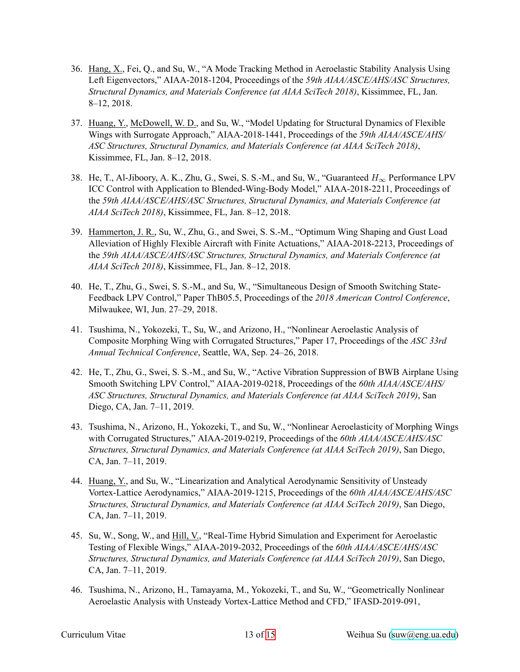- 36. Hang, X., Fei, Q., and Su, W., "A Mode Tracking Method in Aeroelastic Stability Analysis Using Left Eigenvectors," AIAA-2018-1204, Proceedings of the 59th AIAA/ASCE/AHS/ASC Structures, *Structural Dynamics, and Materials Conference (at AIAA SciTech 2018)*, Kissimmee, FL, Jan. 8–12, 2018.
- 37. Huang, Y., McDowell, W. D., and Su, W., "Model Updating for Structural Dynamics of Flexible Wings with Surrogate Approach," AIAA-2018-1441, Proceedings of the 59th AIAA/ASCE/AHS/ *ASC Structures, Structural Dynamics, and Materials Conference (at AIAA SciTech 2018)*, Kissimmee, FL, Jan. 8–12, 2018.
- 38. He, T., Al-Jiboory, A. K., Zhu, G., Swei, S. S.-M., and Su, W., "Guaranteed  $H_{\infty}$  Performance LPV ICC Control with Application to Blended-Wing-Body Model," AIAA-2018-2211, Proceedings of the *59th AIAA/ASCE/AHS/ASC Structures, Structural Dynamics, and Materials Conference (at AIAA SciTech 2018)*, Kissimmee, FL, Jan. 8–12, 2018.
- 39. Hammerton, J. R., Su, W., Zhu, G., and Swei, S. S.M., "Optimum Wing Shaping and Gust Load Alleviation of Highly Flexible Aircraft with Finite Actuations," AIAA-2018-2213, Proceedings of the *59th AIAA/ASCE/AHS/ASC Structures, Structural Dynamics, and Materials Conference (at AIAA SciTech 2018)*, Kissimmee, FL, Jan. 8–12, 2018.
- 40. He, T., Zhu, G., Swei, S. S.M., and Su, W., "Simultaneous Design of Smooth Switching State-Feedback LPV Control," Paper ThB05.5, Proceedings of the *2018 American Control Conference*, Milwaukee, WI, Jun. 27–29, 2018.
- 41. Tsushima, N., Yokozeki, T., Su, W., and Arizono, H., "Nonlinear Aeroelastic Analysis of Composite Morphing Wing with Corrugated Structures," Paper 17, Proceedings of the *ASC 33rd Annual Technical Conference*, Seattle, WA, Sep. 24–26, 2018.
- 42. He, T., Zhu, G., Swei, S. S.M., and Su, W., "Active Vibration Suppression of BWB Airplane Using Smooth Switching LPV Control," AIAA-2019-0218, Proceedings of the *60th AIAA/ASCE/AHS/ ASC Structures, Structural Dynamics, and Materials Conference (at AIAA SciTech 2019)*, San Diego, CA, Jan. 7–11, 2019.
- 43. Tsushima, N., Arizono, H., Yokozeki, T., and Su, W., "Nonlinear Aeroelasticity of Morphing Wings with Corrugated Structures," AIAA-2019-0219, Proceedings of the *60th AIAA/ASCE/AHS/ASC Structures, Structural Dynamics, and Materials Conference (at AIAA SciTech 2019)*, San Diego, CA, Jan. 7–11, 2019.
- 44. Huang, Y., and Su, W., "Linearization and Analytical Aerodynamic Sensitivity of Unsteady Vortex-Lattice Aerodynamics," AIAA-2019-1215, Proceedings of the 60th AIAA/ASCE/AHS/ASC *Structures, Structural Dynamics, and Materials Conference (at AIAA SciTech 2019)*, San Diego, CA, Jan. 7–11, 2019.
- 45. Su, W., Song, W., and Hill, V., "Real-Time Hybrid Simulation and Experiment for Aeroelastic Testing of Flexible Wings," AIAA-2019-2032, Proceedings of the 60th AIAA/ASCE/AHS/ASC *Structures, Structural Dynamics, and Materials Conference (at AIAA SciTech 2019)*, San Diego, CA, Jan. 7–11, 2019.
- 46. Tsushima, N., Arizono, H., Tamayama, M., Yokozeki, T., and Su, W., "Geometrically Nonlinear Aeroelastic Analysis with Unsteady Vortex-Lattice Method and CFD," IFASD-2019-091,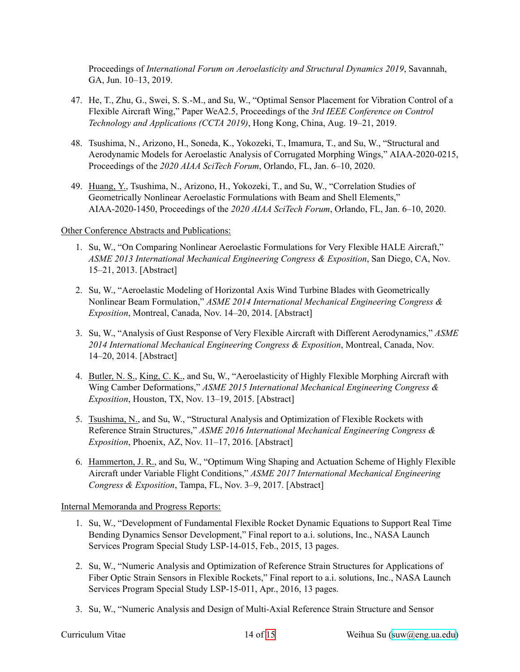Proceedings of *International Forum on Aeroelasticity and Structural Dynamics 2019*, Savannah, GA, Jun. 10–13, 2019.

- 47. He, T., Zhu, G., Swei, S. S.M., and Su, W., "Optimal Sensor Placement for Vibration Control of a Flexible Aircraft Wing," Paper WeA2.5, Proceedings of the *3rd IEEE Conference on Control Technology and Applications (CCTA 2019)*, Hong Kong, China, Aug. 19–21, 2019.
- 48. Tsushima, N., Arizono, H., Soneda, K., Yokozeki, T., Imamura, T., and Su, W., "Structural and Aerodynamic Models for Aeroelastic Analysis of Corrugated Morphing Wings," AIAA-2020-0215, Proceedings of the *2020 AIAA SciTech Forum*, Orlando, FL, Jan. 6–10, 2020.
- 49. Huang, Y., Tsushima, N., Arizono, H., Yokozeki, T., and Su, W., "Correlation Studies of Geometrically Nonlinear Aeroelastic Formulations with Beam and Shell Elements," AIAA20201450, Proceedings of the *2020 AIAA SciTech Forum*, Orlando, FL, Jan. 6–10, 2020.

#### Other Conference Abstracts and Publications:

- 1. Su, W., "On Comparing Nonlinear Aeroelastic Formulations for Very Flexible HALE Aircraft," *ASME 2013 International Mechanical Engineering Congress & Exposition*, San Diego, CA, Nov. 15–21, 2013. [Abstract]
- 2. Su, W., "Aeroelastic Modeling of Horizontal Axis Wind Turbine Blades with Geometrically Nonlinear Beam Formulation," *ASME 2014 International Mechanical Engineering Congress & Exposition*, Montreal, Canada, Nov. 14–20, 2014. [Abstract]
- 3. Su, W., "Analysis of Gust Response of Very Flexible Aircraft with Different Aerodynamics," *ASME 2014 International Mechanical Engineering Congress & Exposition*, Montreal, Canada, Nov. 14–20, 2014. [Abstract]
- 4. Butler, N. S., King, C. K., and Su, W., "Aeroelasticity of Highly Flexible Morphing Aircraft with Wing Camber Deformations," *ASME 2015 International Mechanical Engineering Congress & Exposition*, Houston, TX, Nov. 13–19, 2015. [Abstract]
- 5. Tsushima, N., and Su, W., "Structural Analysis and Optimization of Flexible Rockets with Reference Strain Structures," *ASME 2016 International Mechanical Engineering Congress & Exposition*, Phoenix, AZ, Nov. 11–17, 2016. [Abstract]
- 6. Hammerton, J. R., and Su, W., "Optimum Wing Shaping and Actuation Scheme of Highly Flexible Aircraft under Variable Flight Conditions," *ASME 2017 International Mechanical Engineering Congress & Exposition*, Tampa, FL, Nov. 3–9, 2017. [Abstract]

Internal Memoranda and Progress Reports:

- 1. Su, W., "Development of Fundamental Flexible Rocket Dynamic Equations to Support Real Time Bending Dynamics Sensor Development," Final report to a.i. solutions, Inc., NASA Launch Services Program Special Study LSP-14-015, Feb., 2015, 13 pages.
- 2. Su, W., "Numeric Analysis and Optimization of Reference Strain Structures for Applications of Fiber Optic Strain Sensors in Flexible Rockets," Final report to a.i. solutions, Inc., NASA Launch Services Program Special Study LSP-15-011, Apr., 2016, 13 pages.
- 3. Su, W., "Numeric Analysis and Design of Multi-Axial Reference Strain Structure and Sensor